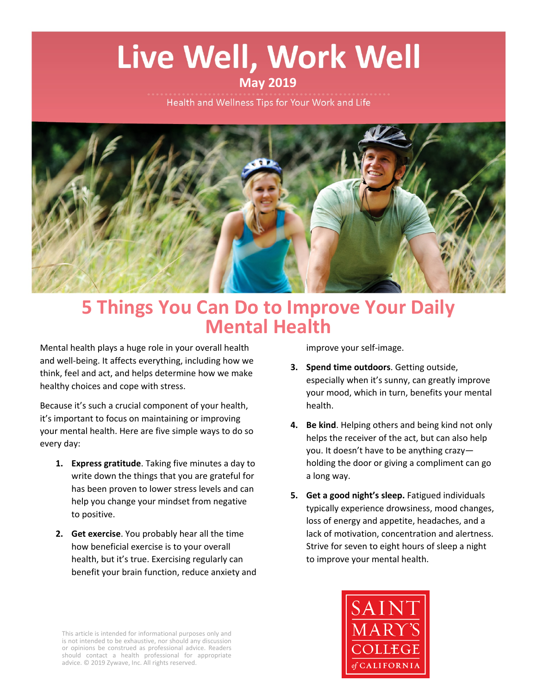# Live Well, Work Well

## **May 2019**

Health and Wellness Tips for Your Work and Life



# **5 Things You Can Do to Improve Your Daily Mental Health**

Mental health plays a huge role in your overall health and well-being. It affects everything, including how we think, feel and act, and helps determine how we make healthy choices and cope with stress.

Because it's such a crucial component of your health, it's important to focus on maintaining or improving your mental health. Here are five simple ways to do so every day:

- **1. Express gratitude**. Taking five minutes a day to write down the things that you are grateful for has been proven to lower stress levels and can help you change your mindset from negative to positive.
- **2. Get exercise**. You probably hear all the time how beneficial exercise is to your overall health, but it's true. Exercising regularly can benefit your brain function, reduce anxiety and

improve your self-image.

- **3. Spend time outdoors**. Getting outside, especially when it's sunny, can greatly improve your mood, which in turn, benefits your mental health.
- **4. Be kind**. Helping others and being kind not only helps the receiver of the act, but can also help you. It doesn't have to be anything crazy holding the door or giving a compliment can go a long way.
- **5. Get a good night's sleep.** Fatigued individuals typically experience drowsiness, mood changes, loss of energy and appetite, headaches, and a lack of motivation, concentration and alertness. Strive for seven to eight hours of sleep a night to improve your mental health.



This article is intended for informational purposes only and is not intended to be exhaustive, nor should any discussion or opinions be construed as professional advice. Readers should contact a health professional for appropriate advice. © 2019 Zywave, Inc. All rights reserved.